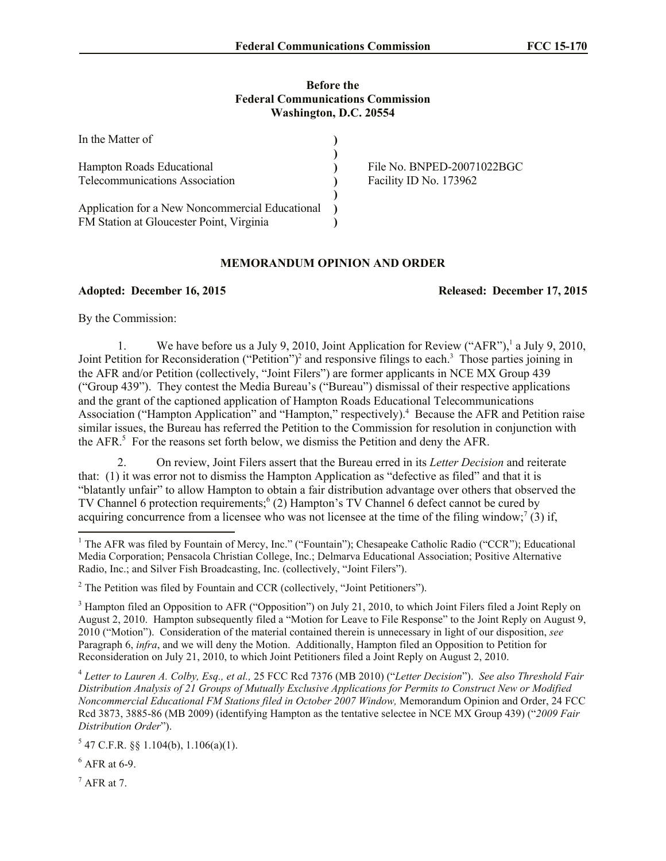## **Before the Federal Communications Commission Washington, D.C. 20554**

| In the Matter of                                |                            |
|-------------------------------------------------|----------------------------|
|                                                 |                            |
| Hampton Roads Educational                       | File No. BNPED-20071022BGC |
| Telecommunications Association                  | Facility ID No. 173962     |
|                                                 |                            |
| Application for a New Noncommercial Educational |                            |
| FM Station at Gloucester Point, Virginia        |                            |

## **MEMORANDUM OPINION AND ORDER**

**Adopted: December 16, 2015 Released: December 17, 2015**

By the Commission:

1. We have before us a July 9, 2010, Joint Application for Review ("AFR"),<sup>1</sup> a July 9, 2010, Joint Petition for Reconsideration ("Petition")<sup>2</sup> and responsive filings to each.<sup>3</sup> Those parties joining in the AFR and/or Petition (collectively, "Joint Filers") are former applicants in NCE MX Group 439 ("Group 439"). They contest the Media Bureau's ("Bureau") dismissal of their respective applications and the grant of the captioned application of Hampton Roads Educational Telecommunications Association ("Hampton Application" and "Hampton," respectively).<sup>4</sup> Because the AFR and Petition raise similar issues, the Bureau has referred the Petition to the Commission for resolution in conjunction with the  $AFR$ <sup>5</sup>. For the reasons set forth below, we dismiss the Petition and deny the  $AFR$ .

2. On review, Joint Filers assert that the Bureau erred in its *Letter Decision* and reiterate that: (1) it was error not to dismiss the Hampton Application as "defective as filed" and that it is "blatantly unfair" to allow Hampton to obtain a fair distribution advantage over others that observed the TV Channel 6 protection requirements;<sup>6</sup> (2) Hampton's TV Channel 6 defect cannot be cured by acquiring concurrence from a licensee who was not licensee at the time of the filing window;<sup>7</sup> (3) if,

4 *Letter to Lauren A. Colby, Esq., et al.,* 25 FCC Rcd 7376 (MB 2010) ("*Letter Decision*"). *See also Threshold Fair Distribution Analysis of 21 Groups of Mutually Exclusive Applications for Permits to Construct New or Modified Noncommercial Educational FM Stations filed in October 2007 Window,* Memorandum Opinion and Order, 24 FCC Rcd 3873, 3885-86 (MB 2009) (identifying Hampton as the tentative selectee in NCE MX Group 439) ("*2009 Fair Distribution Order*").

 $5$  47 C.F.R. §§ 1.104(b), 1.106(a)(1).

 $<sup>6</sup>$  AFR at 6-9.</sup>

 $<sup>7</sup>$  AFR at 7.</sup>

l

<sup>&</sup>lt;sup>1</sup> The AFR was filed by Fountain of Mercy, Inc." ("Fountain"); Chesapeake Catholic Radio ("CCR"); Educational Media Corporation; Pensacola Christian College, Inc.; Delmarva Educational Association; Positive Alternative Radio, Inc.; and Silver Fish Broadcasting, Inc. (collectively, "Joint Filers").

<sup>&</sup>lt;sup>2</sup> The Petition was filed by Fountain and CCR (collectively, "Joint Petitioners").

<sup>&</sup>lt;sup>3</sup> Hampton filed an Opposition to AFR ("Opposition") on July 21, 2010, to which Joint Filers filed a Joint Reply on August 2, 2010. Hampton subsequently filed a "Motion for Leave to File Response" to the Joint Reply on August 9, 2010 ("Motion"). Consideration of the material contained therein is unnecessary in light of our disposition, *see*  Paragraph 6, *infra*, and we will deny the Motion. Additionally, Hampton filed an Opposition to Petition for Reconsideration on July 21, 2010, to which Joint Petitioners filed a Joint Reply on August 2, 2010.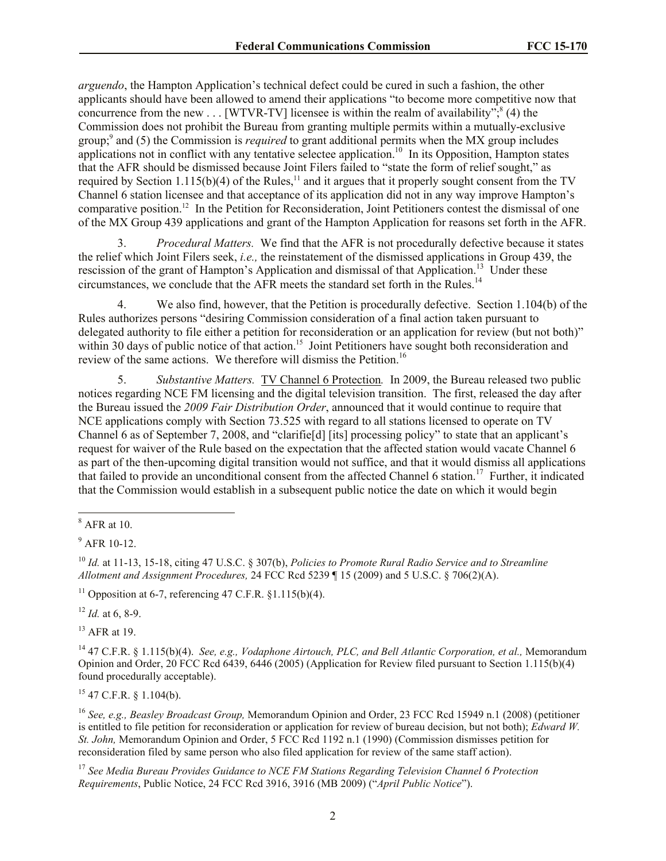*arguendo*, the Hampton Application's technical defect could be cured in such a fashion, the other applicants should have been allowed to amend their applications "to become more competitive now that concurrence from the new . . . [WTVR-TV] licensee is within the realm of availability";  $(4)$  the Commission does not prohibit the Bureau from granting multiple permits within a mutually-exclusive group;<sup>9</sup> and (5) the Commission is *required* to grant additional permits when the MX group includes applications not in conflict with any tentative selectee application.<sup>10</sup> In its Opposition, Hampton states that the AFR should be dismissed because Joint Filers failed to "state the form of relief sought," as required by Section 1.115(b)(4) of the Rules,<sup>11</sup> and it argues that it properly sought consent from the TV Channel 6 station licensee and that acceptance of its application did not in any way improve Hampton's comparative position.<sup>12</sup> In the Petition for Reconsideration, Joint Petitioners contest the dismissal of one of the MX Group 439 applications and grant of the Hampton Application for reasons set forth in the AFR.

3. *Procedural Matters.* We find that the AFR is not procedurally defective because it states the relief which Joint Filers seek, *i.e.,* the reinstatement of the dismissed applications in Group 439, the rescission of the grant of Hampton's Application and dismissal of that Application.<sup>13</sup> Under these circumstances, we conclude that the AFR meets the standard set forth in the Rules.<sup>14</sup>

4. We also find, however, that the Petition is procedurally defective. Section 1.104(b) of the Rules authorizes persons "desiring Commission consideration of a final action taken pursuant to delegated authority to file either a petition for reconsideration or an application for review (but not both)" within 30 days of public notice of that action.<sup>15</sup> Joint Petitioners have sought both reconsideration and review of the same actions. We therefore will dismiss the Petition.<sup>16</sup>

5. *Substantive Matters.* TV Channel 6 Protection*.* In 2009, the Bureau released two public notices regarding NCE FM licensing and the digital television transition. The first, released the day after the Bureau issued the *2009 Fair Distribution Order*, announced that it would continue to require that NCE applications comply with Section 73.525 with regard to all stations licensed to operate on TV Channel 6 as of September 7, 2008, and "clarifie[d] [its] processing policy" to state that an applicant's request for waiver of the Rule based on the expectation that the affected station would vacate Channel 6 as part of the then-upcoming digital transition would not suffice, and that it would dismiss all applications that failed to provide an unconditional consent from the affected Channel 6 station.<sup>17</sup> Further, it indicated that the Commission would establish in a subsequent public notice the date on which it would begin

l

<sup>11</sup> Opposition at 6-7, referencing  $47$  C.F.R.  $$1.115(b)(4)$ .

 $12$  *Id.* at 6, 8-9.

 $13$  AFR at 19.

<sup>14</sup> 47 C.F.R. § 1.115(b)(4). *See, e.g., Vodaphone Airtouch, PLC, and Bell Atlantic Corporation, et al.,* Memorandum Opinion and Order, 20 FCC Rcd 6439, 6446 (2005) (Application for Review filed pursuant to Section 1.115(b)(4) found procedurally acceptable).

 $15$  47 C.F.R. § 1.104(b).

<sup>16</sup> *See, e.g., Beasley Broadcast Group,* Memorandum Opinion and Order, 23 FCC Rcd 15949 n.1 (2008) (petitioner is entitled to file petition for reconsideration or application for review of bureau decision, but not both); *Edward W. St. John,* Memorandum Opinion and Order, 5 FCC Rcd 1192 n.1 (1990) (Commission dismisses petition for reconsideration filed by same person who also filed application for review of the same staff action).

<sup>17</sup> *See Media Bureau Provides Guidance to NCE FM Stations Regarding Television Channel 6 Protection Requirements*, Public Notice, 24 FCC Rcd 3916, 3916 (MB 2009) ("*April Public Notice*").

 $8$  AFR at 10.

 $9$  AFR 10-12.

<sup>10</sup> *Id.* at 11-13, 15-18, citing 47 U.S.C. § 307(b), *Policies to Promote Rural Radio Service and to Streamline Allotment and Assignment Procedures,* 24 FCC Rcd 5239 ¶ 15 (2009) and 5 U.S.C. § 706(2)(A).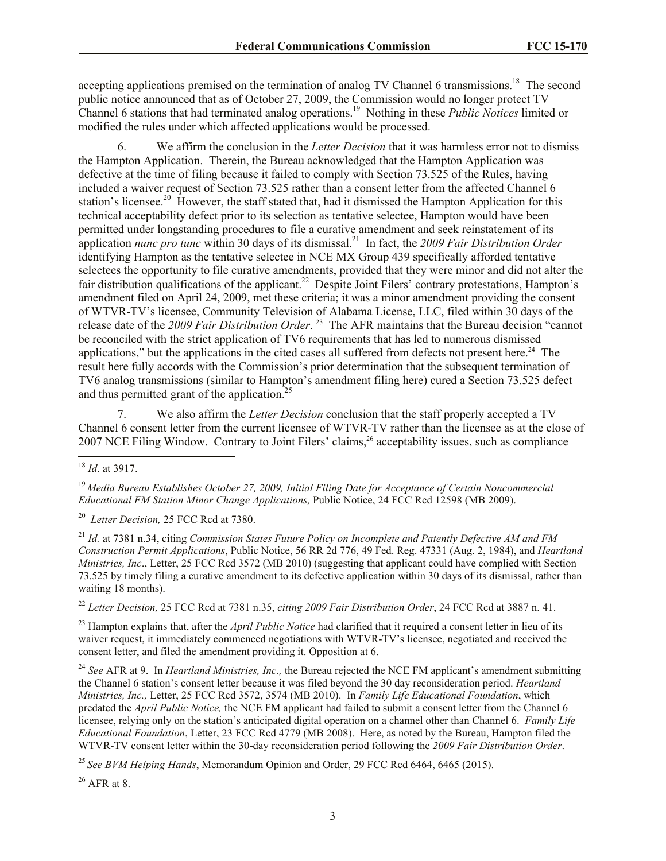accepting applications premised on the termination of analog TV Channel 6 transmissions.<sup>18</sup> The second public notice announced that as of October 27, 2009, the Commission would no longer protect TV Channel 6 stations that had terminated analog operations.<sup>19</sup> Nothing in these *Public Notices* limited or modified the rules under which affected applications would be processed.

6. We affirm the conclusion in the *Letter Decision* that it was harmless error not to dismiss the Hampton Application. Therein, the Bureau acknowledged that the Hampton Application was defective at the time of filing because it failed to comply with Section 73.525 of the Rules, having included a waiver request of Section 73.525 rather than a consent letter from the affected Channel 6 station's licensee.<sup>20</sup> However, the staff stated that, had it dismissed the Hampton Application for this technical acceptability defect prior to its selection as tentative selectee, Hampton would have been permitted under longstanding procedures to file a curative amendment and seek reinstatement of its application *nunc pro tunc* within 30 days of its dismissal.<sup>21</sup> In fact, the *2009 Fair Distribution Order* identifying Hampton as the tentative selectee in NCE MX Group 439 specifically afforded tentative selectees the opportunity to file curative amendments, provided that they were minor and did not alter the fair distribution qualifications of the applicant.<sup>22</sup> Despite Joint Filers' contrary protestations, Hampton's amendment filed on April 24, 2009, met these criteria; it was a minor amendment providing the consent of WTVR-TV's licensee, Community Television of Alabama License, LLC, filed within 30 days of the release date of the *2009 Fair Distribution Order*. 23 The AFR maintains that the Bureau decision "cannot be reconciled with the strict application of TV6 requirements that has led to numerous dismissed applications," but the applications in the cited cases all suffered from defects not present here. $24$  The result here fully accords with the Commission's prior determination that the subsequent termination of TV6 analog transmissions (similar to Hampton's amendment filing here) cured a Section 73.525 defect and thus permitted grant of the application. $25$ 

7. We also affirm the *Letter Decision* conclusion that the staff properly accepted a TV Channel 6 consent letter from the current licensee of WTVR-TV rather than the licensee as at the close of 2007 NCE Filing Window. Contrary to Joint Filers' claims,<sup>26</sup> acceptability issues, such as compliance

<sup>19</sup> *Media Bureau Establishes October 27, 2009, Initial Filing Date for Acceptance of Certain Noncommercial Educational FM Station Minor Change Applications,* Public Notice, 24 FCC Rcd 12598 (MB 2009).

20 *Letter Decision,* 25 FCC Rcd at 7380.

<sup>21</sup> *Id.* at 7381 n.34, citing *Commission States Future Policy on Incomplete and Patently Defective AM and FM Construction Permit Applications*, Public Notice, 56 RR 2d 776, 49 Fed. Reg. 47331 (Aug. 2, 1984), and *Heartland Ministries, Inc.*, Letter, 25 FCC Rcd 3572 (MB 2010) (suggesting that applicant could have complied with Section 73.525 by timely filing a curative amendment to its defective application within 30 days of its dismissal, rather than waiting 18 months).

<sup>22</sup> *Letter Decision,* 25 FCC Rcd at 7381 n.35, *citing 2009 Fair Distribution Order*, 24 FCC Rcd at 3887 n. 41.

<sup>23</sup> Hampton explains that, after the *April Public Notice* had clarified that it required a consent letter in lieu of its waiver request, it immediately commenced negotiations with WTVR-TV's licensee, negotiated and received the consent letter, and filed the amendment providing it. Opposition at 6.

<sup>24</sup> *See* AFR at 9. In *Heartland Ministries, Inc.,* the Bureau rejected the NCE FM applicant's amendment submitting the Channel 6 station's consent letter because it was filed beyond the 30 day reconsideration period. *Heartland Ministries, Inc.,* Letter, 25 FCC Rcd 3572, 3574 (MB 2010). In *Family Life Educational Foundation*, which predated the *April Public Notice,* the NCE FM applicant had failed to submit a consent letter from the Channel 6 licensee, relying only on the station's anticipated digital operation on a channel other than Channel 6. *Family Life Educational Foundation*, Letter, 23 FCC Rcd 4779 (MB 2008). Here, as noted by the Bureau, Hampton filed the WTVR-TV consent letter within the 30-day reconsideration period following the *2009 Fair Distribution Order*.

<sup>25</sup> *See BVM Helping Hands*, Memorandum Opinion and Order, 29 FCC Rcd 6464, 6465 (2015).

 $26$  AFR at 8.

 $\overline{\phantom{a}}$ <sup>18</sup> *Id*. at 3917.